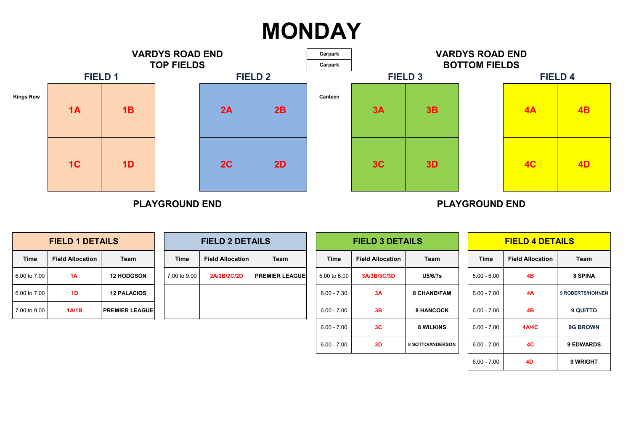| <b>FIELD 1 DETAILS</b> |                         |                       |              | <b>FIELD 2 DETAILS</b>  |                       |               | <b>FIELD 3 DETAILS</b>  |                    |               | <b>FIELD 4 DETAILS</b>  |                         |
|------------------------|-------------------------|-----------------------|--------------|-------------------------|-----------------------|---------------|-------------------------|--------------------|---------------|-------------------------|-------------------------|
| <b>Time</b>            | <b>Field Allocation</b> | <b>Team</b>           | <b>Time</b>  | <b>Field Allocation</b> | Team                  | <b>Time</b>   | <b>Field Allocation</b> | Team               | Time          | <b>Field Allocation</b> | <b>Team</b>             |
| 6.00 to 7.00           | 1A                      | <b>12 HODGSON</b>     | 7.00 to 9.00 | <b>2A/2B/2C/2D</b>      | <b>PREMIER LEAGUE</b> | 5.00 to 6.00  | 3A/3B/3C/3D             | <b>U5/6/7s</b>     | $5.00 - 6.00$ | 4B                      | <b>8 SPINA</b>          |
| 6.00 to 7.00           | 1 <sub>D</sub>          | <b>12 PALACIOS</b>    |              |                         |                       | $6.00 - 7.30$ | 3A                      | <b>8 CHAND/FAM</b> | $6.00 - 7.00$ | 4A                      | <b>9 ROBERTS/HOHNEN</b> |
| 7.00 to 9.00           | 1A/1B                   | <b>PREMIER LEAGUE</b> |              |                         |                       | $6.00 - 7.00$ | 3B                      | <b>8 HANCOCK</b>   | $6.00 - 7.00$ | 4B                      | <b>9 QUITTO</b>         |
|                        |                         |                       |              |                         |                       | $6.00 - 7.00$ | 3C                      | <b>8 WILKINS</b>   | $6.00 - 7.00$ | <b>4A/4C</b>            | <b>9G BROWN</b>         |
|                        |                         |                       |              |                         |                       | $6.00 - 7.00$ | 3D                      | 8 SOTTO/ANDERSON   | $6.00 - 7.00$ | <b>4C</b>               | <b>9 EDWARDS</b>        |
|                        |                         |                       |              |                         |                       |               |                         |                    | $6.00 - 7.00$ | <b>4D</b>               | 9 WRIGHT                |



| <b>FIELD 1 DETAILS</b> |                         |                       |  |  |  |  |  |  |
|------------------------|-------------------------|-----------------------|--|--|--|--|--|--|
| <b>Time</b>            | <b>Field Allocation</b> | <b>Team</b>           |  |  |  |  |  |  |
| 6.00 to 7.00           | <b>1A</b>               | <b>12 HODGSON</b>     |  |  |  |  |  |  |
| 6.00 to 7.00           | 1D                      | <b>12 PALACIOS</b>    |  |  |  |  |  |  |
| 7.00 to 9.00           | <b>1A/1B</b>            | <b>PREMIER LEAGUE</b> |  |  |  |  |  |  |

| <b>FIELD 2 DETAILS</b> |                         |                       |  |  |  |  |  |  |  |
|------------------------|-------------------------|-----------------------|--|--|--|--|--|--|--|
| <b>Time</b>            | <b>Field Allocation</b> | <b>Team</b>           |  |  |  |  |  |  |  |
| 7.00 to 9.00           | <b>2A/2B/2C/2D</b>      | <b>PREMIER LEAGUE</b> |  |  |  |  |  |  |  |
|                        |                         |                       |  |  |  |  |  |  |  |
|                        |                         |                       |  |  |  |  |  |  |  |

## **MONDAY**

### **3D 4A 4C 4B BOTTOM FIELDS VARDYS ROAD END**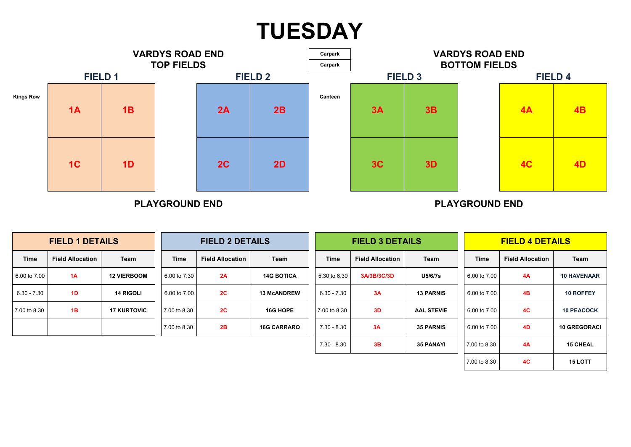| <b>FIELD 1 DETAILS</b> |                         |                    |              | <b>FIELD 2 DETAILS</b>  |                    | <b>FIELD 3 DETAILS</b><br><b>FIELD 4 DETAILS</b> |                         |                   |              |                         |                     |
|------------------------|-------------------------|--------------------|--------------|-------------------------|--------------------|--------------------------------------------------|-------------------------|-------------------|--------------|-------------------------|---------------------|
| <b>Time</b>            | <b>Field Allocation</b> | <b>Team</b>        | <b>Time</b>  | <b>Field Allocation</b> | <b>Team</b>        | <b>Time</b>                                      | <b>Field Allocation</b> | <b>Team</b>       | <b>Time</b>  | <b>Field Allocation</b> | <b>Team</b>         |
| 6.00 to 7.00           | 1A                      | <b>12 VIERBOOM</b> | 6.00 to 7.30 | 2A                      | <b>14G BOTICA</b>  | 5.30 to 6.30                                     | 3A/3B/3C/3D             | <b>U5/6/7s</b>    | 6.00 to 7.00 | 4A                      | <b>10 HAVENAAR</b>  |
| $6.30 - 7.30$          | 1D                      | <b>14 RIGOLI</b>   | 6.00 to 7.00 | 2C                      | <b>13 McANDREW</b> | $6.30 - 7.30$                                    | 3A                      | <b>13 PARNIS</b>  | 6.00 to 7.00 | 4B                      | <b>10 ROFFEY</b>    |
| 7.00 to 8.30           | 1B                      | <b>17 KURTOVIC</b> | 7.00 to 8.30 | 2C                      | 16G HOPE           | 7.00 to 8.30                                     | 3D                      | <b>AAL STEVIE</b> | 6.00 to 7.00 | <b>4C</b>               | <b>10 PEACOCK</b>   |
|                        |                         |                    | 7.00 to 8.30 | 2B                      | <b>16G CARRARO</b> | $7.30 - 8.30$                                    | 3A                      | <b>35 PARNIS</b>  | 6.00 to 7.00 | 4D                      | <b>10 GREGORACI</b> |
|                        |                         |                    |              |                         |                    | $7.30 - 8.30$                                    | 3B                      | <b>35 PANAYI</b>  | 7.00 to 8.30 | 4A                      | <b>15 CHEAL</b>     |
|                        |                         |                    |              |                         |                    |                                                  |                         |                   | 7.00 to 8.30 | <b>4C</b>               | <b>15 LOTT</b>      |



# **TUESDAY**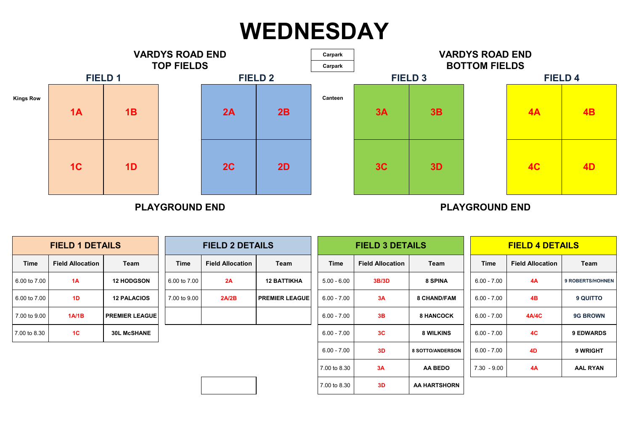| <b>FIELD 1 DETAILS</b> |                         |                       |              | <b>FIELD 2 DETAILS</b>  |                       |               | <b>FIELD 3 DETAILS</b>  |                         |               | <b>FIELD 4 DETAILS</b>  |                         |
|------------------------|-------------------------|-----------------------|--------------|-------------------------|-----------------------|---------------|-------------------------|-------------------------|---------------|-------------------------|-------------------------|
| Time                   | <b>Field Allocation</b> | <b>Team</b>           | <b>Time</b>  | <b>Field Allocation</b> | <b>Team</b>           | <b>Time</b>   | <b>Field Allocation</b> | Team                    | <b>Time</b>   | <b>Field Allocation</b> | <b>Team</b>             |
| 6.00 to 7.00           | 1A                      | <b>12 HODGSON</b>     | 6.00 to 7.00 | 2A                      | <b>12 BATTIKHA</b>    | $5.00 - 6.00$ | <b>3B/3D</b>            | <b>8 SPINA</b>          | $6.00 - 7.00$ | 4A                      | <b>9 ROBERTS/HOHNEN</b> |
| 6.00 to 7.00           | 1D                      | <b>12 PALACIOS</b>    | 7.00 to 9.00 | 2A/2B                   | <b>PREMIER LEAGUE</b> | $6.00 - 7.00$ | 3A                      | <b>8 CHAND/FAM</b>      | $6.00 - 7.00$ | 4B                      | <b>9 QUITTO</b>         |
| 7.00 to 9.00           | 1A/1B                   | <b>PREMIER LEAGUE</b> |              |                         |                       | $6.00 - 7.00$ | 3B                      | <b>8 HANCOCK</b>        | $6.00 - 7.00$ | <b>4A/4C</b>            | <b>9G BROWN</b>         |
| 7.00 to 8.30           | 1 <sup>C</sup>          | <b>30L McSHANE</b>    |              |                         |                       | $6.00 - 7.00$ | 3C                      | <b>8 WILKINS</b>        | $6.00 - 7.00$ | 4C                      | <b>9 EDWARDS</b>        |
|                        |                         |                       |              |                         |                       | $6.00 - 7.00$ | 3D                      | <b>8 SOTTO/ANDERSON</b> | $6.00 - 7.00$ | <b>4D</b>               | 9 WRIGHT                |
|                        |                         |                       |              |                         |                       | 7.00 to 8.30  | 3A                      | <b>AA BEDO</b>          | $7.30 - 9.00$ | 4A                      | <b>AAL RYAN</b>         |
|                        |                         |                       |              |                         |                       | 7.00 to 8.30  | 3D                      | <b>AA HARTSHORN</b>     |               |                         |                         |





|              | <b>FIELD 1 DETAILS</b>                 |                       |              | <b>FIELD 2 DET</b>      |
|--------------|----------------------------------------|-----------------------|--------------|-------------------------|
| <b>Time</b>  | <b>Field Allocation</b><br><b>Team</b> |                       | <b>Time</b>  | <b>Field Allocation</b> |
| 6.00 to 7.00 | 1A                                     | <b>12 HODGSON</b>     | 6.00 to 7.00 | 2A                      |
| 6.00 to 7.00 | 1 <sub>D</sub>                         | <b>12 PALACIOS</b>    | 7.00 to 9.00 | 2A/2B                   |
| 7.00 to 9.00 | 1A/1B                                  | <b>PREMIER LEAGUE</b> |              |                         |
| 7.00 to 8.30 | 1 <sup>C</sup>                         | <b>30L McSHANE</b>    |              |                         |

## **WEDNESDAY**